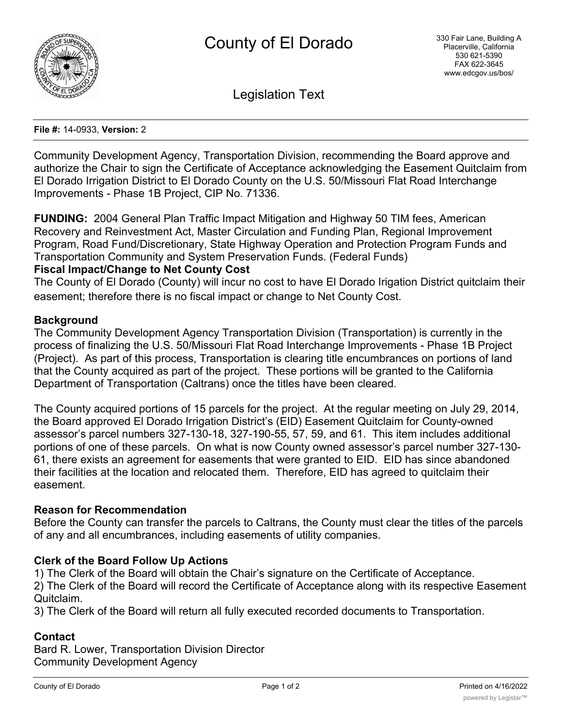

Legislation Text

#### **File #:** 14-0933, **Version:** 2

Community Development Agency, Transportation Division, recommending the Board approve and authorize the Chair to sign the Certificate of Acceptance acknowledging the Easement Quitclaim from El Dorado Irrigation District to El Dorado County on the U.S. 50/Missouri Flat Road Interchange Improvements - Phase 1B Project, CIP No. 71336.

**FUNDING:** 2004 General Plan Traffic Impact Mitigation and Highway 50 TIM fees, American Recovery and Reinvestment Act, Master Circulation and Funding Plan, Regional Improvement Program, Road Fund/Discretionary, State Highway Operation and Protection Program Funds and Transportation Community and System Preservation Funds. (Federal Funds)

## **Fiscal Impact/Change to Net County Cost**

The County of El Dorado (County) will incur no cost to have El Dorado Irigation District quitclaim their easement; therefore there is no fiscal impact or change to Net County Cost.

## **Background**

The Community Development Agency Transportation Division (Transportation) is currently in the process of finalizing the U.S. 50/Missouri Flat Road Interchange Improvements - Phase 1B Project (Project). As part of this process, Transportation is clearing title encumbrances on portions of land that the County acquired as part of the project. These portions will be granted to the California Department of Transportation (Caltrans) once the titles have been cleared.

The County acquired portions of 15 parcels for the project. At the regular meeting on July 29, 2014, the Board approved El Dorado Irrigation District's (EID) Easement Quitclaim for County-owned assessor's parcel numbers 327-130-18, 327-190-55, 57, 59, and 61. This item includes additional portions of one of these parcels. On what is now County owned assessor's parcel number 327-130- 61, there exists an agreement for easements that were granted to EID. EID has since abandoned their facilities at the location and relocated them. Therefore, EID has agreed to quitclaim their easement.

#### **Reason for Recommendation**

Before the County can transfer the parcels to Caltrans, the County must clear the titles of the parcels of any and all encumbrances, including easements of utility companies.

# **Clerk of the Board Follow Up Actions**

1) The Clerk of the Board will obtain the Chair's signature on the Certificate of Acceptance.

2) The Clerk of the Board will record the Certificate of Acceptance along with its respective Easement Quitclaim.

3) The Clerk of the Board will return all fully executed recorded documents to Transportation.

# **Contact**

Bard R. Lower, Transportation Division Director Community Development Agency